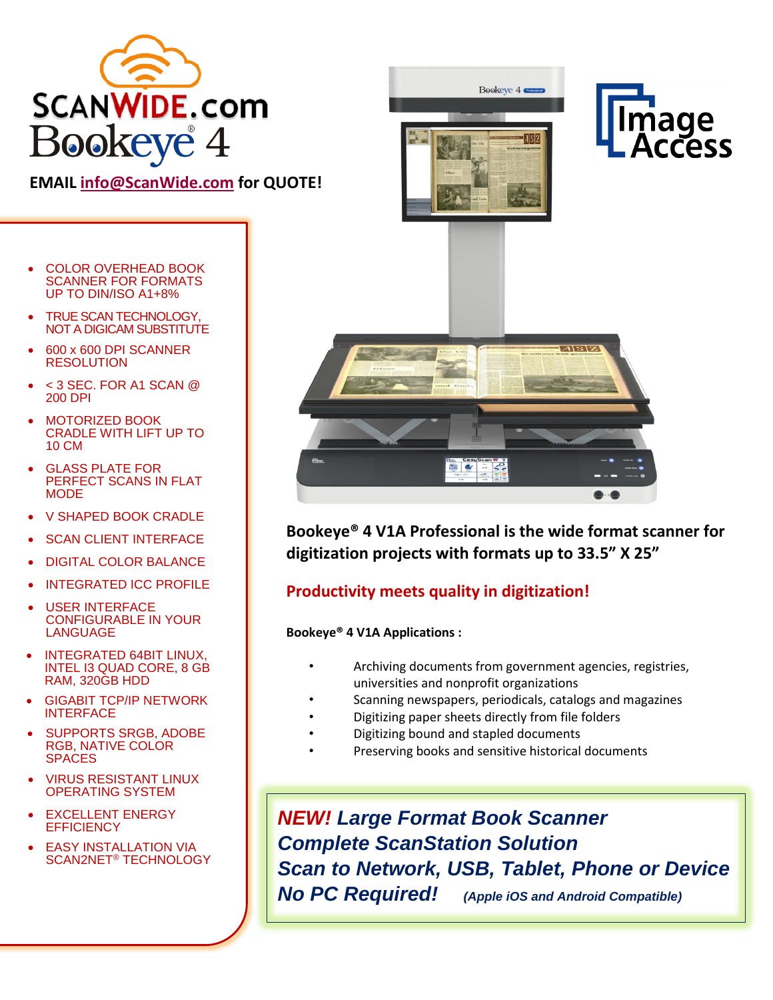

# **EMAIL [info@ScanWide.com](mailto:info@ScanWide.com) for QUOTE!**

- COLOR OVERHEAD BOOK SCANNER FOR FORMATS UP TO DIN/ISO A1+8%
- TRUE SCAN TECHNOLOGY, NOT A DIGICAM SUBSTITUTE
- 600 x 600 DPI SCANNER RESOLUTION
- $<$  3 SEC. FOR A1 SCAN  $@$ 200 DPI
- MOTORIZED BOOK CRADLE WITH LIFT UP TO 10 CM
- **GLASS PLATE FOR** PERFECT SCANS IN FLAT **MODE**
- V SHAPED BOOK CRADLE
- **SCAN CLIENT INTERFACE**
- DIGITAL COLOR BALANCE
- **INTEGRATED ICC PROFILE**
- **USER INTERFACE** CONFIGURABLE IN YOUR LANGUAGE
- INTEGRATED 64BIT LINUX, INTEL I3 QUAD CORE, 8 GB RAM, 320GB HDD
- GIGABIT TCP/IP NETWORK INTERFACE
- SUPPORTS SRGB, ADOBE RGB, NATIVE COLOR SPACES
- VIRUS RESISTANT LINUX OPERATING SYSTEM
- **EXCELLENT ENERGY EFFICIENCY**
- **EASY INSTALLATION VIA** SCAN2NET® TECHNOLOGY



• **Bookeye® 4 V1A Professional is the wide format scanner for digitization projects with formats up to 33.5" X 25"** 

## • **Productivity meets quality in digitization!**

#### • **Bookeye® 4 V1A Applications :**

- Archiving documents from government agencies, registries, universities and nonprofit organizations
- Scanning newspapers, periodicals, catalogs and magazines
- Digitizing paper sheets directly from file folders
- Digitizing bound and stapled documents
- Preserving books and sensitive historical documents

*NEW! Large Format Book Scanner Complete ScanStation Solution Scan to Network, USB, Tablet, Phone or Device No PC Required! (Apple iOS and Android Compatible)*